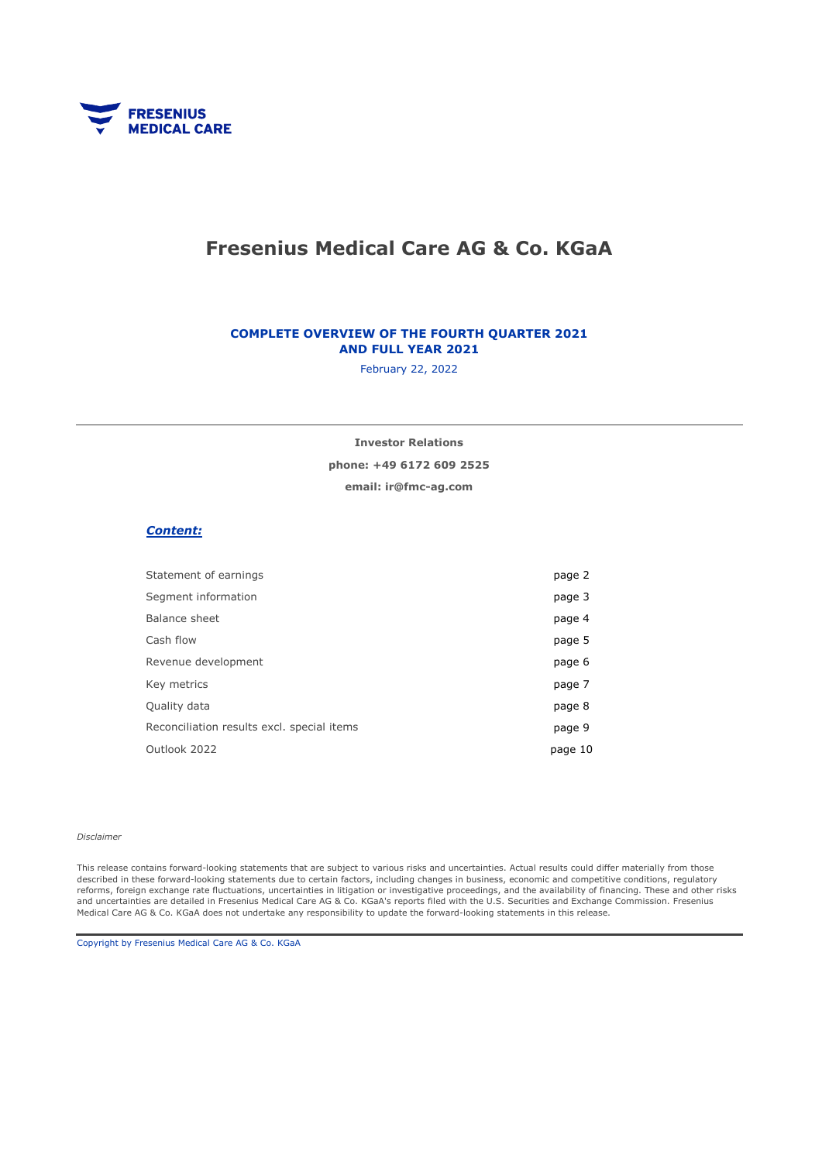

# Fresenius Medical Care AG & Co. KGaA

#### COMPLETE OVERVIEW OF THE FOURTH QUARTER 2021 AND FULL YEAR 2021

February 22, 2022

Investor Relations

phone: +49 6172 609 2525

email: ir@fmc-ag.com

#### Content:

| page 2  |
|---------|
| page 3  |
| page 4  |
| page 5  |
| page 6  |
| page 7  |
| page 8  |
| page 9  |
| page 10 |
|         |

#### Disclaimer

This release contains forward-looking statements that are subject to various risks and uncertainties. Actual results could differ materially from those described in these forward-looking statements due to certain factors, including changes in business, economic and competitive conditions, regulatory reforms, foreign exchange rate fluctuations, uncertainties in litigation or investigative proceedings, and the availability of financing. These and other risks and uncertainties are detailed in Fresenius Medical Care AG & Co. KGaA's reports filed with the U.S. Securities and Exchange Commission. Fresenius Medical Care AG & Co. KGaA does not undertake any responsibility to update the forward-looking statements in this release.

Copyright by Fresenius Medical Care AG & Co. KGaA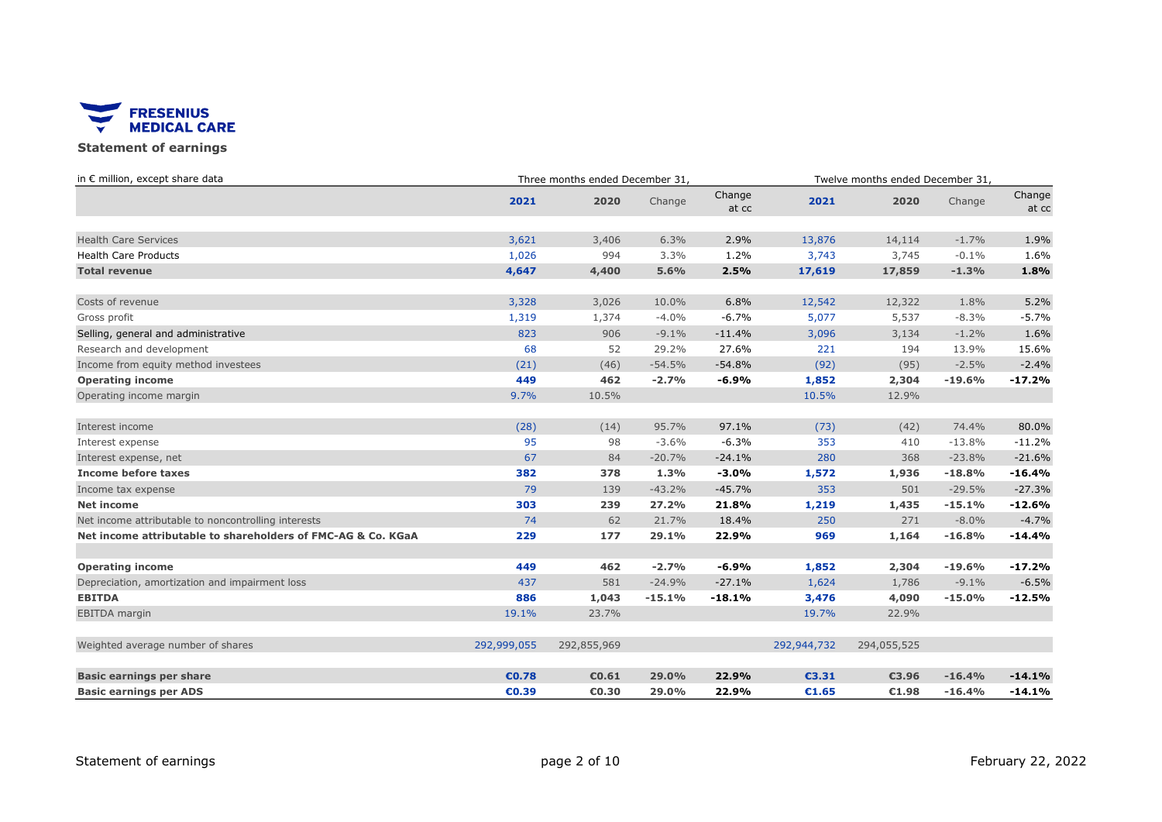

### Statement of earnings

| in € million, except share data                              | Three months ended December 31, |             |          |                 | Twelve months ended December 31, |             |          |                 |
|--------------------------------------------------------------|---------------------------------|-------------|----------|-----------------|----------------------------------|-------------|----------|-----------------|
|                                                              | 2021                            | 2020        | Change   | Change<br>at cc | 2021                             | 2020        | Change   | Change<br>at cc |
| <b>Health Care Services</b>                                  | 3,621                           | 3,406       | 6.3%     | 2.9%            | 13,876                           | 14,114      | $-1.7%$  | 1.9%            |
| <b>Health Care Products</b>                                  | 1,026                           | 994         | 3.3%     | 1.2%            | 3,743                            | 3,745       | $-0.1%$  | 1.6%            |
| <b>Total revenue</b>                                         | 4,647                           | 4,400       | 5.6%     | 2.5%            | 17,619                           | 17,859      | $-1.3%$  | 1.8%            |
| Costs of revenue                                             | 3,328                           | 3,026       | 10.0%    | 6.8%            | 12,542                           | 12,322      | 1.8%     | 5.2%            |
| Gross profit                                                 | 1,319                           | 1,374       | $-4.0%$  | $-6.7%$         | 5,077                            | 5,537       | $-8.3%$  | $-5.7%$         |
| Selling, general and administrative                          | 823                             | 906         | $-9.1%$  | $-11.4%$        | 3,096                            | 3,134       | $-1.2%$  | 1.6%            |
| Research and development                                     | 68                              | 52          | 29.2%    | 27.6%           | 221                              | 194         | 13.9%    | 15.6%           |
| Income from equity method investees                          | (21)                            | (46)        | $-54.5%$ | $-54.8%$        | (92)                             | (95)        | $-2.5%$  | $-2.4%$         |
| <b>Operating income</b>                                      | 449                             | 462         | $-2.7%$  | $-6.9%$         | 1,852                            | 2,304       | $-19.6%$ | $-17.2%$        |
| Operating income margin                                      | 9.7%                            | 10.5%       |          |                 | 10.5%                            | 12.9%       |          |                 |
| Interest income                                              | (28)                            | (14)        | 95.7%    | 97.1%           | (73)                             | (42)        | 74.4%    | 80.0%           |
| Interest expense                                             | 95                              | 98          | $-3.6%$  | $-6.3%$         | 353                              | 410         | $-13.8%$ | $-11.2%$        |
| Interest expense, net                                        | 67                              | 84          | $-20.7%$ | $-24.1%$        | 280                              | 368         | $-23.8%$ | $-21.6%$        |
| Income before taxes                                          | 382                             | 378         | 1.3%     | $-3.0%$         | 1,572                            | 1,936       | $-18.8%$ | $-16.4%$        |
| Income tax expense                                           | 79                              | 139         | $-43.2%$ | $-45.7%$        | 353                              | 501         | $-29.5%$ | $-27.3%$        |
| <b>Net income</b>                                            | 303                             | 239         | 27.2%    | 21.8%           | 1,219                            | 1,435       | $-15.1%$ | $-12.6%$        |
| Net income attributable to noncontrolling interests          | 74                              | 62          | 21.7%    | 18.4%           | 250                              | 271         | $-8.0%$  | $-4.7%$         |
| Net income attributable to shareholders of FMC-AG & Co. KGaA | 229                             | 177         | 29.1%    | 22.9%           | 969                              | 1,164       | $-16.8%$ | $-14.4%$        |
| <b>Operating income</b>                                      | 449                             | 462         | $-2.7%$  | $-6.9%$         | 1,852                            | 2,304       | $-19.6%$ | $-17.2%$        |
| Depreciation, amortization and impairment loss               | 437                             | 581         | $-24.9%$ | $-27.1%$        | 1,624                            | 1,786       | $-9.1%$  | $-6.5%$         |
| <b>EBITDA</b>                                                | 886                             | 1,043       | $-15.1%$ | $-18.1%$        | 3,476                            | 4,090       | $-15.0%$ | $-12.5%$        |
| <b>EBITDA</b> margin                                         | 19.1%                           | 23.7%       |          |                 | 19.7%                            | 22.9%       |          |                 |
| Weighted average number of shares                            | 292,999,055                     | 292,855,969 |          |                 | 292,944,732                      | 294,055,525 |          |                 |
| <b>Basic earnings per share</b>                              | €0.78                           | €0.61       | 29.0%    | 22.9%           | €3.31                            | €3.96       | $-16.4%$ | $-14.1%$        |
| <b>Basic earnings per ADS</b>                                | €0.39                           | €0.30       | 29.0%    | 22.9%           | €1.65                            | €1.98       | $-16.4%$ | $-14.1%$        |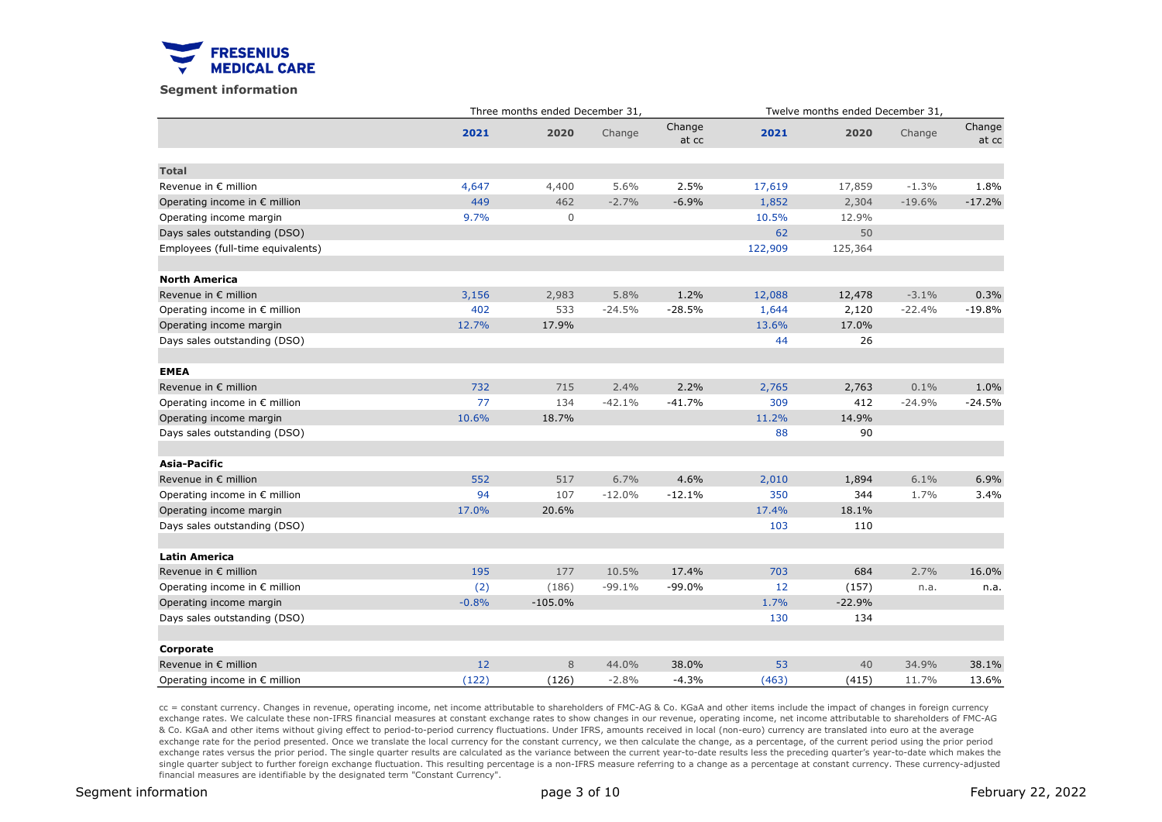

#### Segment information

|                                        |         | Three months ended December 31, |          |                 | Twelve months ended December 31, |          |          |                 |  |
|----------------------------------------|---------|---------------------------------|----------|-----------------|----------------------------------|----------|----------|-----------------|--|
|                                        | 2021    | 2020                            | Change   | Change<br>at cc | 2021                             | 2020     | Change   | Change<br>at cc |  |
| <b>Total</b>                           |         |                                 |          |                 |                                  |          |          |                 |  |
| Revenue in € million                   | 4,647   | 4,400                           | 5.6%     | 2.5%            | 17,619                           | 17,859   | $-1.3%$  | 1.8%            |  |
| Operating income in € million          | 449     | 462                             | $-2.7%$  | $-6.9%$         | 1,852                            | 2,304    | $-19.6%$ | $-17.2%$        |  |
| Operating income margin                | 9.7%    | $\mathbf 0$                     |          |                 | 10.5%                            | 12.9%    |          |                 |  |
| Days sales outstanding (DSO)           |         |                                 |          |                 | 62                               | 50       |          |                 |  |
| Employees (full-time equivalents)      |         |                                 |          |                 | 122,909                          | 125,364  |          |                 |  |
| <b>North America</b>                   |         |                                 |          |                 |                                  |          |          |                 |  |
| Revenue in € million                   | 3,156   | 2,983                           | 5.8%     | 1.2%            | 12,088                           | 12,478   | $-3.1%$  | 0.3%            |  |
| Operating income in € million          | 402     | 533                             | $-24.5%$ | $-28.5%$        | 1,644                            | 2,120    | $-22.4%$ | $-19.8%$        |  |
| Operating income margin                | 12.7%   | 17.9%                           |          |                 | 13.6%                            | 17.0%    |          |                 |  |
| Days sales outstanding (DSO)           |         |                                 |          |                 | 44                               | 26       |          |                 |  |
| <b>EMEA</b>                            |         |                                 |          |                 |                                  |          |          |                 |  |
| Revenue in € million                   | 732     | 715                             | 2.4%     | 2.2%            | 2,765                            | 2,763    | 0.1%     | 1.0%            |  |
| Operating income in € million          | 77      | 134                             | $-42.1%$ | $-41.7%$        | 309                              | 412      | $-24.9%$ | $-24.5%$        |  |
| Operating income margin                | 10.6%   | 18.7%                           |          |                 | 11.2%                            | 14.9%    |          |                 |  |
| Days sales outstanding (DSO)           |         |                                 |          |                 | 88                               | 90       |          |                 |  |
| Asia-Pacific                           |         |                                 |          |                 |                                  |          |          |                 |  |
| Revenue in € million                   | 552     | 517                             | 6.7%     | 4.6%            | 2,010                            | 1,894    | 6.1%     | 6.9%            |  |
| Operating income in € million          | 94      | 107                             | $-12.0%$ | $-12.1%$        | 350                              | 344      | 1.7%     | 3.4%            |  |
| Operating income margin                | 17.0%   | 20.6%                           |          |                 | 17.4%                            | 18.1%    |          |                 |  |
| Days sales outstanding (DSO)           |         |                                 |          |                 | 103                              | 110      |          |                 |  |
| <b>Latin America</b>                   |         |                                 |          |                 |                                  |          |          |                 |  |
| Revenue in € million                   | 195     | 177                             | 10.5%    | 17.4%           | 703                              | 684      | 2.7%     | 16.0%           |  |
| Operating income in $\epsilon$ million | (2)     | (186)                           | $-99.1%$ | $-99.0%$        | 12                               | (157)    | n.a.     | n.a.            |  |
| Operating income margin                | $-0.8%$ | $-105.0%$                       |          |                 | 1.7%                             | $-22.9%$ |          |                 |  |
| Days sales outstanding (DSO)           |         |                                 |          |                 | 130                              | 134      |          |                 |  |
| Corporate                              |         |                                 |          |                 |                                  |          |          |                 |  |
| Revenue in € million                   | 12      | 8                               | 44.0%    | 38.0%           | 53                               | 40       | 34.9%    | 38.1%           |  |
| Operating income in $\epsilon$ million | (122)   | (126)                           | $-2.8%$  | $-4.3%$         | (463)                            | (415)    | 11.7%    | 13.6%           |  |

cc = constant currency. Changes in revenue, operating income, net income attributable to shareholders of FMC-AG & Co. KGaA and other items include the impact of changes in foreign currency exchange rates. We calculate these non-IFRS financial measures at constant exchange rates to show changes in our revenue, operating income, net income attributable to shareholders of FMC-AG & Co. KGaA and other items without giving effect to period-to-period currency fluctuations. Under IFRS, amounts received in local (non-euro) currency are translated into euro at the average exchange rate for the period presented. Once we translate the local currency for the constant currency, we then calculate the change, as a percentage, of the current period using the prior period exchange rates versus the prior period. The single quarter results are calculated as the variance between the current year-to-date results less the preceding quarter's year-to-date which makes the single quarter subject to further foreign exchange fluctuation. This resulting percentage is a non-IFRS measure referring to a change as a percentage at constant currency. These currency-adjusted financial measures are identifiable by the designated term "Constant Currency".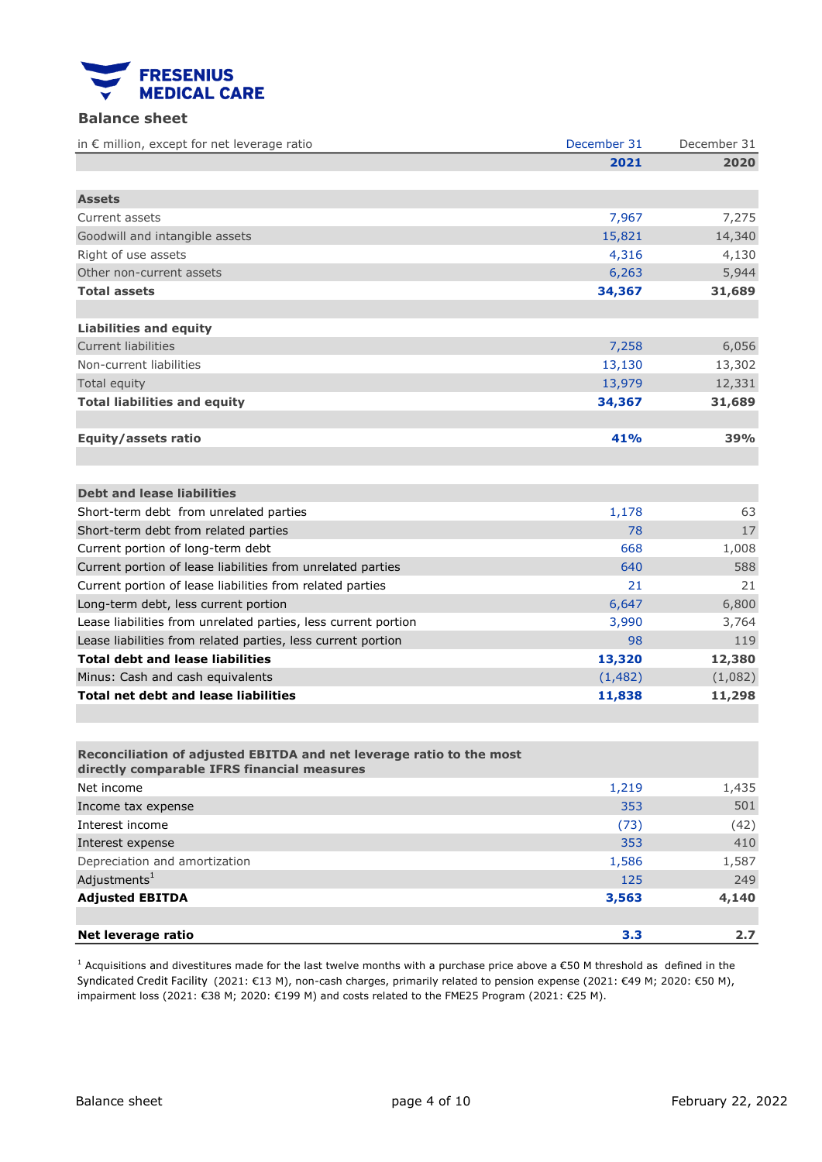

## Balance sheet

| in € million, except for net leverage ratio                                                                         | December 31 | December 31 |
|---------------------------------------------------------------------------------------------------------------------|-------------|-------------|
|                                                                                                                     | 2021        | 2020        |
|                                                                                                                     |             |             |
| <b>Assets</b>                                                                                                       |             |             |
| Current assets                                                                                                      | 7,967       | 7,275       |
| Goodwill and intangible assets                                                                                      | 15,821      | 14,340      |
| Right of use assets                                                                                                 | 4,316       | 4,130       |
| Other non-current assets                                                                                            | 6,263       | 5,944       |
| <b>Total assets</b>                                                                                                 | 34,367      | 31,689      |
|                                                                                                                     |             |             |
| <b>Liabilities and equity</b>                                                                                       |             |             |
| <b>Current liabilities</b>                                                                                          | 7,258       | 6,056       |
| Non-current liabilities                                                                                             | 13,130      | 13,302      |
| Total equity                                                                                                        | 13,979      | 12,331      |
| <b>Total liabilities and equity</b>                                                                                 | 34,367      | 31,689      |
|                                                                                                                     |             |             |
| Equity/assets ratio                                                                                                 | 41%         | 39%         |
|                                                                                                                     |             |             |
|                                                                                                                     |             |             |
| <b>Debt and lease liabilities</b>                                                                                   |             |             |
| Short-term debt from unrelated parties                                                                              | 1,178       | 63          |
| Short-term debt from related parties                                                                                | 78          | 17          |
| Current portion of long-term debt                                                                                   | 668         | 1,008       |
| Current portion of lease liabilities from unrelated parties                                                         | 640         | 588         |
| Current portion of lease liabilities from related parties                                                           | 21          | 21          |
| Long-term debt, less current portion                                                                                | 6,647       | 6,800       |
| Lease liabilities from unrelated parties, less current portion                                                      | 3,990       | 3,764       |
| Lease liabilities from related parties, less current portion                                                        | 98          | 119         |
| <b>Total debt and lease liabilities</b>                                                                             | 13,320      | 12,380      |
| Minus: Cash and cash equivalents                                                                                    | (1,482)     | (1,082)     |
| <b>Total net debt and lease liabilities</b>                                                                         | 11,838      | 11,298      |
|                                                                                                                     |             |             |
|                                                                                                                     |             |             |
| Reconciliation of adjusted EBITDA and net leverage ratio to the most<br>directly comparable IFRS financial measures |             |             |
| Net income                                                                                                          | 1,219       | 1,435       |
| Income tax expense                                                                                                  | 353         | 501         |
| Interest income                                                                                                     | (73)        | (42)        |
| Interest expense                                                                                                    | 353         | 410         |
| Depreciation and amortization                                                                                       | 1,586       | 1,587       |
| Adjustments <sup>1</sup>                                                                                            | 125         | 249         |
| <b>Adjusted EBITDA</b>                                                                                              | 3,563       | 4,140       |
|                                                                                                                     |             |             |

<sup>1</sup> Acquisitions and divestitures made for the last twelve months with a purchase price above a €50 M threshold as defined in the Syndicated Credit Facility (2021: €13 M), non-cash charges, primarily related to pension expense (2021: €49 M; 2020: €50 M), impairment loss (2021: €38 M; 2020: €199 M) and costs related to the FME25 Program (2021: €25 M).

Net leverage ratio 2.7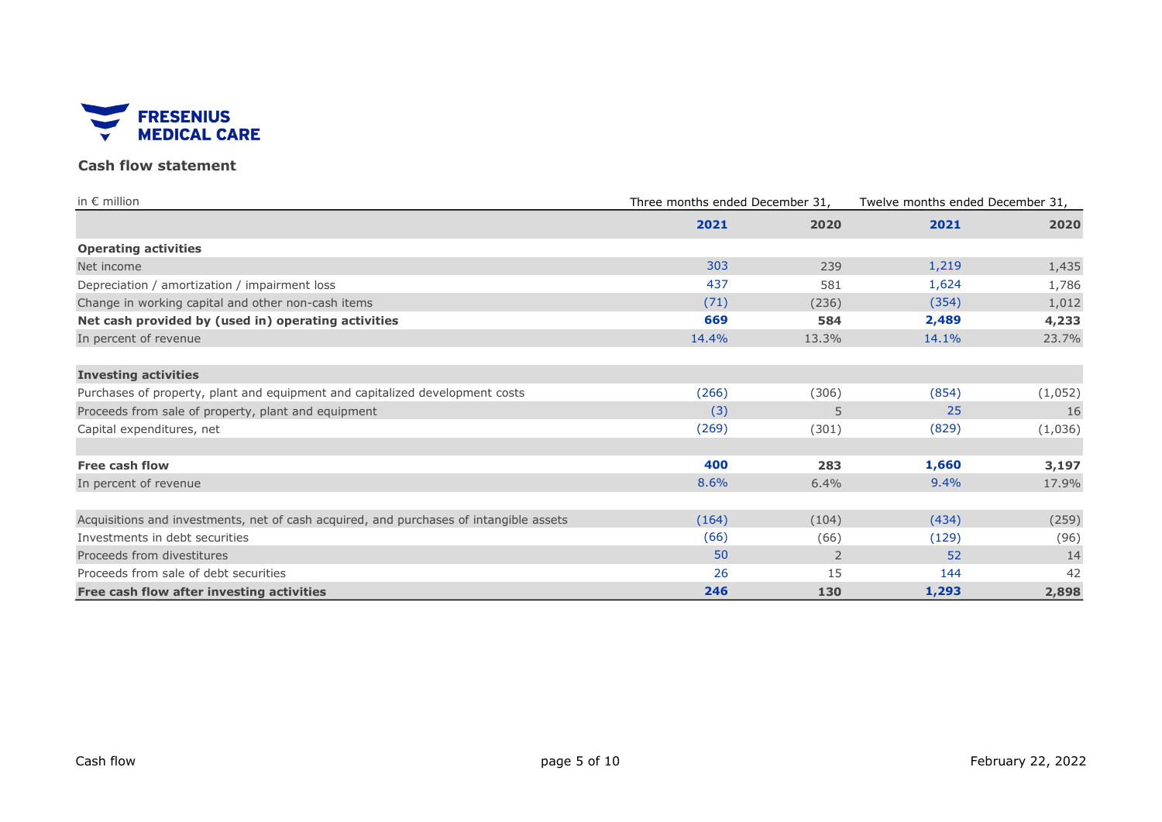

## Cash flow statement

| in $\epsilon$ million                                                                  | Three months ended December 31. |                | Twelve months ended December 31, |         |  |
|----------------------------------------------------------------------------------------|---------------------------------|----------------|----------------------------------|---------|--|
|                                                                                        | 2021                            | 2020           | 2021                             | 2020    |  |
| <b>Operating activities</b>                                                            |                                 |                |                                  |         |  |
| Net income                                                                             | 303                             | 239            | 1,219                            | 1,435   |  |
| Depreciation / amortization / impairment loss                                          | 437                             | 581            | 1,624                            | 1,786   |  |
| Change in working capital and other non-cash items                                     | (71)                            | (236)          | (354)                            | 1,012   |  |
| Net cash provided by (used in) operating activities                                    | 669                             | 584            | 2,489                            | 4,233   |  |
| In percent of revenue                                                                  | 14.4%                           | 13.3%          | 14.1%                            | 23.7%   |  |
| <b>Investing activities</b>                                                            |                                 |                |                                  |         |  |
| Purchases of property, plant and equipment and capitalized development costs           | (266)                           | (306)          | (854)                            | (1,052) |  |
| Proceeds from sale of property, plant and equipment                                    | (3)                             | 5              | 25                               | 16      |  |
| Capital expenditures, net                                                              | (269)                           | (301)          | (829)                            | (1,036) |  |
| <b>Free cash flow</b>                                                                  | 400                             | 283            | 1,660                            | 3,197   |  |
| In percent of revenue                                                                  | 8.6%                            | 6.4%           | 9.4%                             | 17.9%   |  |
|                                                                                        |                                 |                |                                  |         |  |
| Acquisitions and investments, net of cash acquired, and purchases of intangible assets | (164)                           | (104)          | (434)                            | (259)   |  |
| Investments in debt securities                                                         | (66)                            | (66)           | (129)                            | (96)    |  |
| Proceeds from divestitures                                                             | 50                              | $\overline{2}$ | 52                               | 14      |  |
| Proceeds from sale of debt securities                                                  | 26                              | 15             | 144                              | 42      |  |
| Free cash flow after investing activities                                              | 246                             | 130            | 1,293                            | 2,898   |  |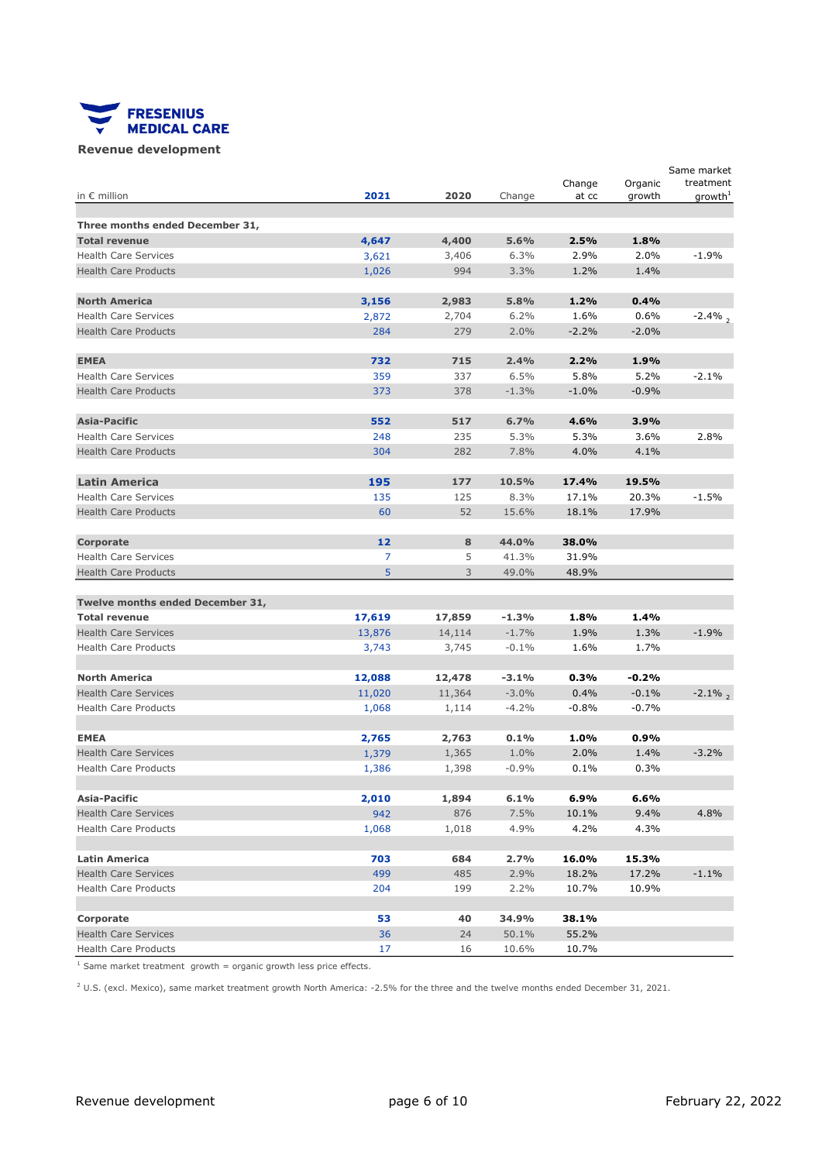

#### Revenue development

|                                                         |                |              |         | Change  | Organic | Same market<br>treatment |
|---------------------------------------------------------|----------------|--------------|---------|---------|---------|--------------------------|
| in $\epsilon$ million                                   | 2021           | 2020         | Change  | at cc   | growth  | growth <sup>+</sup>      |
|                                                         |                |              |         |         |         |                          |
| Three months ended December 31,<br><b>Total revenue</b> |                | 4,400        | 5.6%    | 2.5%    | 1.8%    |                          |
| <b>Health Care Services</b>                             | 4,647          |              | 6.3%    | 2.9%    | 2.0%    | $-1.9%$                  |
| <b>Health Care Products</b>                             | 3,621<br>1,026 | 3,406<br>994 | 3.3%    | 1.2%    | 1.4%    |                          |
|                                                         |                |              |         |         |         |                          |
| <b>North America</b>                                    | 3,156          | 2,983        | 5.8%    | 1.2%    | 0.4%    |                          |
| <b>Health Care Services</b>                             | 2,872          | 2,704        | 6.2%    | 1.6%    | 0.6%    | $-2.4\%$ ,               |
| <b>Health Care Products</b>                             | 284            | 279          | 2.0%    | $-2.2%$ | $-2.0%$ |                          |
|                                                         |                |              |         |         |         |                          |
| <b>EMEA</b>                                             | 732            | 715          | 2.4%    | 2.2%    | 1.9%    |                          |
| <b>Health Care Services</b>                             | 359            | 337          | 6.5%    | 5.8%    | 5.2%    | $-2.1%$                  |
| <b>Health Care Products</b>                             | 373            | 378          | $-1.3%$ | $-1.0%$ | $-0.9%$ |                          |
| <b>Asia-Pacific</b>                                     | 552            | 517          | 6.7%    | 4.6%    | 3.9%    |                          |
| <b>Health Care Services</b>                             | 248            | 235          | 5.3%    | 5.3%    | 3.6%    | 2.8%                     |
| <b>Health Care Products</b>                             | 304            | 282          | 7.8%    | 4.0%    | 4.1%    |                          |
|                                                         |                |              |         |         |         |                          |
| <b>Latin America</b>                                    | 195            | 177          | 10.5%   | 17.4%   | 19.5%   |                          |
| <b>Health Care Services</b>                             | 135            | 125          | 8.3%    | 17.1%   | 20.3%   | $-1.5%$                  |
| <b>Health Care Products</b>                             | 60             | 52           | 15.6%   | 18.1%   | 17.9%   |                          |
| Corporate                                               | 12             | 8            | 44.0%   | 38.0%   |         |                          |
| <b>Health Care Services</b>                             | 7              | 5            | 41.3%   | 31.9%   |         |                          |
| <b>Health Care Products</b>                             | 5              | 3            | 49.0%   | 48.9%   |         |                          |
|                                                         |                |              |         |         |         |                          |
| Twelve months ended December 31,                        |                |              |         |         |         |                          |
| <b>Total revenue</b>                                    | 17,619         | 17,859       | $-1.3%$ | 1.8%    | 1.4%    |                          |
| <b>Health Care Services</b>                             | 13,876         | 14,114       | $-1.7%$ | 1.9%    | 1.3%    | $-1.9%$                  |
| <b>Health Care Products</b>                             | 3,743          | 3,745        | $-0.1%$ | 1.6%    | 1.7%    |                          |
| <b>North America</b>                                    | 12,088         | 12,478       | $-3.1%$ | 0.3%    | $-0.2%$ |                          |
| <b>Health Care Services</b>                             | 11,020         | 11,364       | $-3.0%$ | 0.4%    | $-0.1%$ | $-2.1\%$ ,               |
| <b>Health Care Products</b>                             | 1,068          | 1,114        | $-4.2%$ | $-0.8%$ | $-0.7%$ |                          |
|                                                         |                |              |         |         |         |                          |
| <b>EMEA</b>                                             | 2,765          | 2,763        | 0.1%    | 1.0%    | 0.9%    |                          |
| <b>Health Care Services</b>                             | 1,379          | 1,365        | 1.0%    | 2.0%    | 1.4%    | $-3.2%$                  |
| <b>Health Care Products</b>                             | 1,386          | 1,398        | $-0.9%$ | 0.1%    | 0.3%    |                          |
| Asia-Pacific                                            | 2,010          | 1,894        | 6.1%    | 6.9%    | 6.6%    |                          |
| <b>Health Care Services</b>                             | 942            | 876          | 7.5%    | 10.1%   | 9.4%    | 4.8%                     |
| <b>Health Care Products</b>                             | 1,068          | 1,018        | 4.9%    | 4.2%    | 4.3%    |                          |
|                                                         |                |              |         |         |         |                          |
| <b>Latin America</b>                                    | 703            | 684          | 2.7%    | 16.0%   | 15.3%   |                          |
| <b>Health Care Services</b>                             | 499            | 485          | 2.9%    | 18.2%   | 17.2%   | $-1.1%$                  |
| <b>Health Care Products</b>                             | 204            | 199          | 2.2%    | 10.7%   | 10.9%   |                          |
| Corporate                                               | 53             | 40           | 34.9%   | 38.1%   |         |                          |
| <b>Health Care Services</b>                             | 36             | 24           | 50.1%   | 55.2%   |         |                          |
| <b>Health Care Products</b>                             | 17             | 16           | 10.6%   | 10.7%   |         |                          |

 $1$  Same market treatment growth = organic growth less price effects.

 $^2$  U.S. (excl. Mexico), same market treatment growth North America: -2.5% for the three and the twelve months ended December 31, 2021.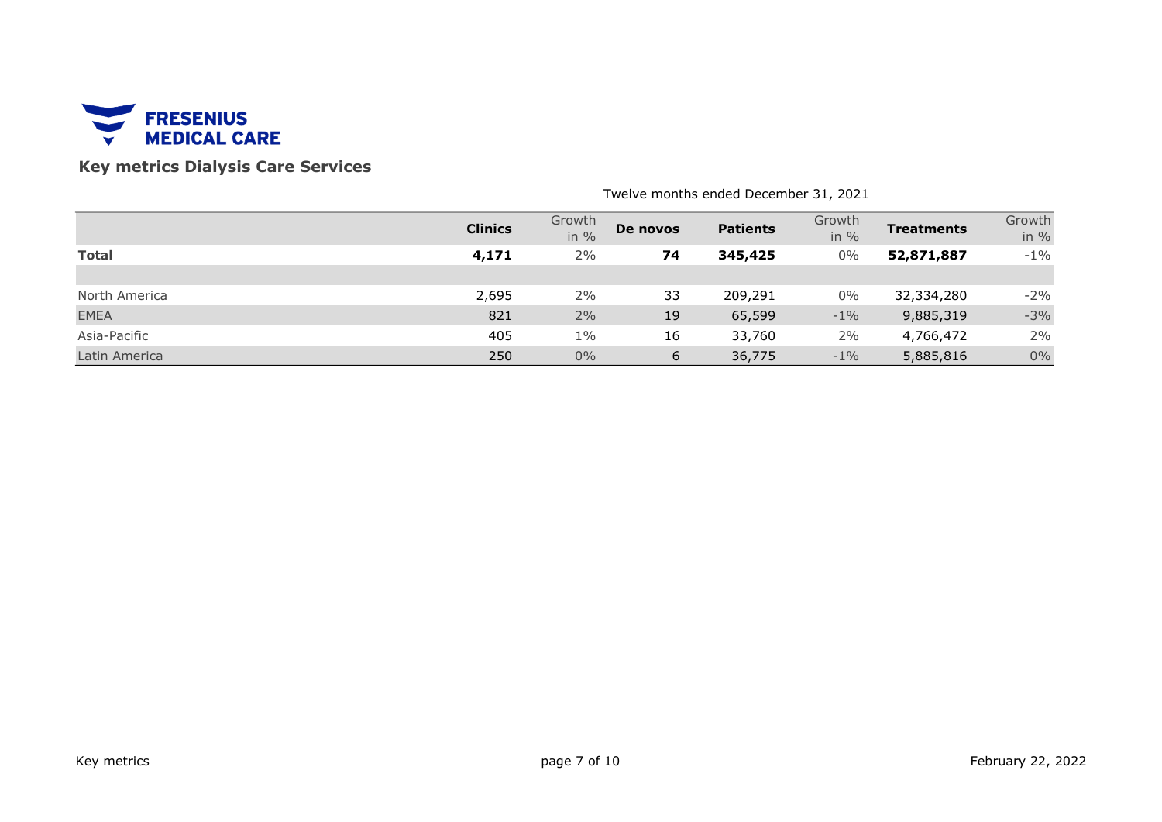

# Key metrics Dialysis Care Services

|               | <b>Clinics</b> | Growth<br>in $%$ | De novos | <b>Patients</b> | Growth<br>in $%$ | <b>Treatments</b> | Growth<br>in $%$ |
|---------------|----------------|------------------|----------|-----------------|------------------|-------------------|------------------|
| <b>Total</b>  | 4,171          | 2%               | 74       | 345,425         | $0\%$            | 52,871,887        | $-1\%$           |
|               |                |                  |          |                 |                  |                   |                  |
| North America | 2,695          | 2%               | 33       | 209,291         | $0\%$            | 32,334,280        | $-2%$            |
| <b>EMEA</b>   | 821            | 2%               | 19       | 65,599          | $-1\%$           | 9,885,319         | $-3%$            |
| Asia-Pacific  | 405            | $1\%$            | 16       | 33,760          | 2%               | 4,766,472         | 2%               |
| Latin America | 250            | $0\%$            | 6        | 36,775          | $-1\%$           | 5,885,816         | $0\%$            |

Twelve months ended December 31, 2021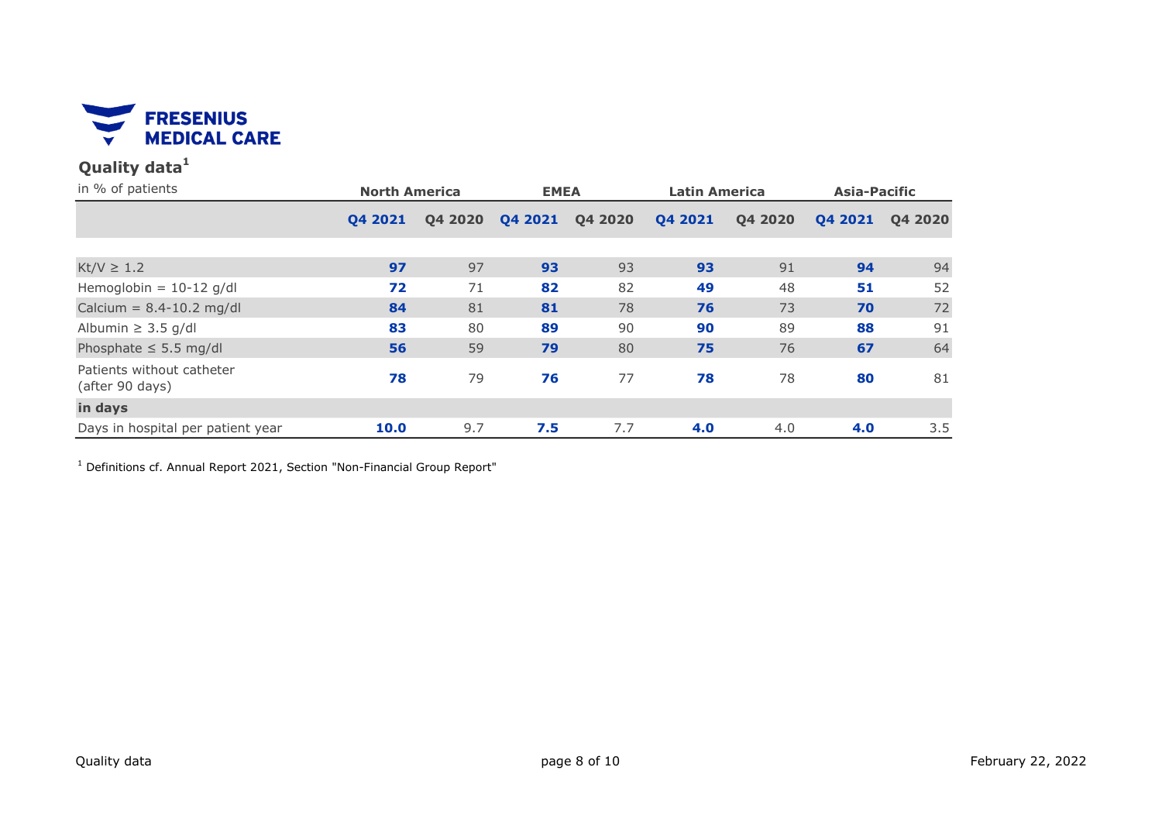

# Quality data $1$

| in % of patients                             | <b>North America</b> |         | <b>EMEA</b> |         | <b>Latin America</b> |         | <b>Asia-Pacific</b> |         |
|----------------------------------------------|----------------------|---------|-------------|---------|----------------------|---------|---------------------|---------|
|                                              | 04 2021              | Q4 2020 | Q4 2021     | Q4 2020 | Q4 2021              | Q4 2020 | Q4 2021             | Q4 2020 |
|                                              |                      |         |             |         |                      |         |                     |         |
| $Kt/V \geq 1.2$                              | 97                   | 97      | 93          | 93      | 93                   | 91      | 94                  | 94      |
| Hemoglobin = $10-12$ g/dl                    | 72                   | 71      | 82          | 82      | 49                   | 48      | 51                  | 52      |
| Calcium = $8.4 - 10.2$ mg/dl                 | 84                   | 81      | 81          | 78      | 76                   | 73      | 70                  | 72      |
| Albumin $\geq$ 3.5 g/dl                      | 83                   | 80      | 89          | 90      | 90                   | 89      | 88                  | 91      |
| Phosphate $\leq$ 5.5 mg/dl                   | 56                   | 59      | 79          | 80      | 75                   | 76      | 67                  | 64      |
| Patients without catheter<br>(after 90 days) | 78                   | 79      | 76          | 77      | 78                   | 78      | 80                  | 81      |
| in days                                      |                      |         |             |         |                      |         |                     |         |
| Days in hospital per patient year            | 10.0                 | 9.7     | 7.5         | 7.7     | 4.0                  | 4.0     | 4.0                 | 3.5     |

<sup>1</sup> Definitions cf. Annual Report 2021, Section "Non-Financial Group Report"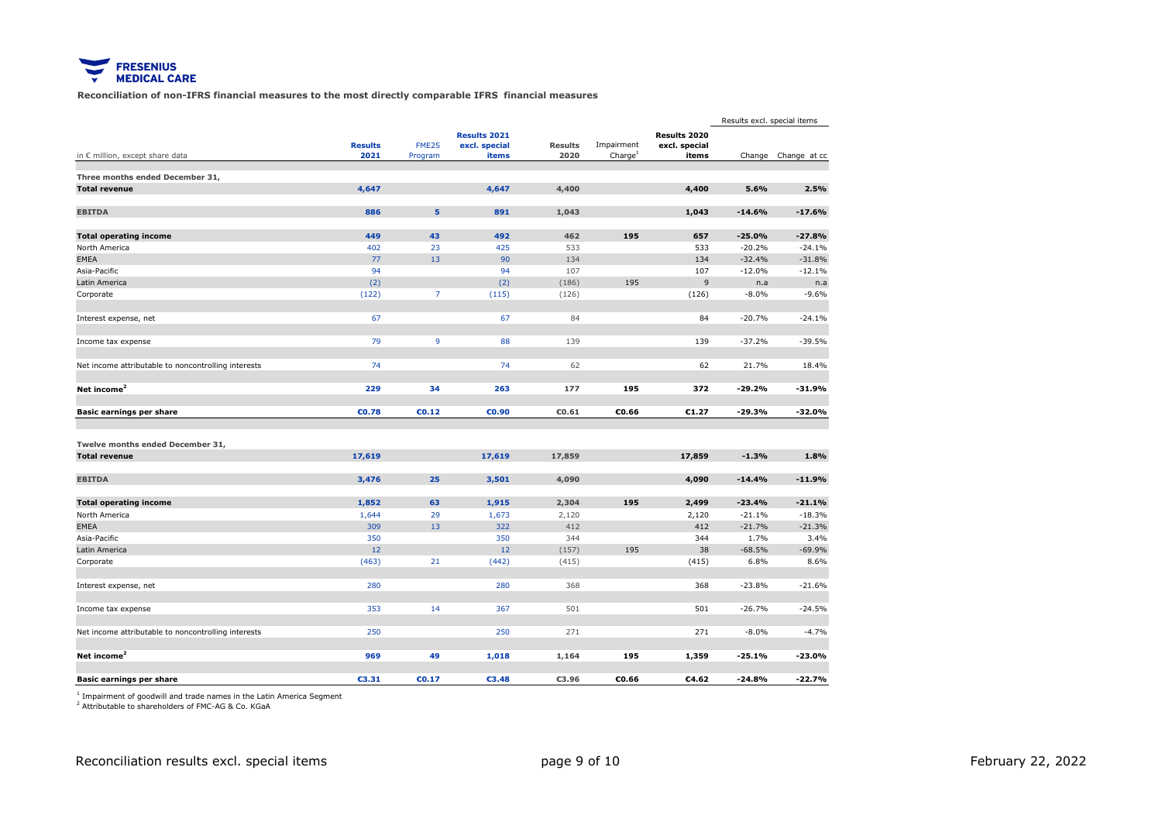

Reconciliation of non-IFRS financial measures to the most directly comparable IFRS financial measures

|                                                     |                        |                   |                                               |                        |                                   |                                        | Results excl. special items |                     |
|-----------------------------------------------------|------------------------|-------------------|-----------------------------------------------|------------------------|-----------------------------------|----------------------------------------|-----------------------------|---------------------|
| in € million, except share data                     | <b>Results</b><br>2021 | FME25<br>Program  | <b>Results 2021</b><br>excl. special<br>items | <b>Results</b><br>2020 | Impairment<br>Charge <sup>1</sup> | Results 2020<br>excl. special<br>items |                             | Change Change at cc |
|                                                     |                        |                   |                                               |                        |                                   |                                        |                             |                     |
| Three months ended December 31,                     |                        |                   |                                               |                        |                                   |                                        |                             |                     |
| <b>Total revenue</b>                                | 4,647                  |                   | 4,647                                         | 4,400                  |                                   | 4,400                                  | 5.6%                        | 2.5%                |
| <b>EBITDA</b>                                       | 886                    | 5                 | 891                                           | 1,043                  |                                   | 1,043                                  | $-14.6%$                    | $-17.6%$            |
| <b>Total operating income</b>                       | 449                    | 43                | 492                                           | 462                    | 195                               | 657                                    | $-25.0%$                    | $-27.8%$            |
| North America                                       | 402                    | 23                | 425                                           | 533                    |                                   | 533                                    | $-20.2%$                    | $-24.1%$            |
| <b>EMEA</b>                                         | 77                     | 13                | 90                                            | 134                    |                                   | 134                                    | $-32.4%$                    | $-31.8%$            |
| Asia-Pacific                                        | 94                     |                   | 94                                            | 107                    |                                   | 107                                    | $-12.0%$                    | $-12.1%$            |
| Latin America                                       | (2)                    |                   | (2)                                           | (186)                  | 195                               | $\overline{9}$                         | n.a                         | n.a                 |
| Corporate                                           | (122)                  | $\overline{7}$    | (115)                                         | (126)                  |                                   | (126)                                  | $-8.0%$                     | $-9.6%$             |
| Interest expense, net                               | 67                     |                   | 67                                            | 84                     |                                   | 84                                     | $-20.7%$                    | $-24.1%$            |
|                                                     |                        |                   |                                               |                        |                                   |                                        |                             |                     |
| Income tax expense                                  | 79                     | $\overline{9}$    | 88                                            | 139                    |                                   | 139                                    | $-37.2%$                    | $-39.5%$            |
| Net income attributable to noncontrolling interests | 74                     |                   | 74                                            | 62                     |                                   | 62                                     | 21.7%                       | 18.4%               |
| Net income <sup>2</sup>                             | 229                    | 34                | 263                                           | 177                    | 195                               | 372                                    | $-29.2%$                    | $-31.9%$            |
| <b>Basic earnings per share</b>                     | €0.78                  | CD.12             | €0.90                                         | €0.61                  | €0.66                             | €1.27                                  | $-29.3%$                    | $-32.0%$            |
|                                                     |                        |                   |                                               |                        |                                   |                                        |                             |                     |
| Twelve months ended December 31,                    |                        |                   |                                               |                        |                                   |                                        |                             |                     |
| <b>Total revenue</b>                                | 17,619                 |                   | 17,619                                        | 17,859                 |                                   | 17,859                                 | $-1.3%$                     | 1.8%                |
| <b>EBITDA</b>                                       | 3,476                  | 25                | 3,501                                         | 4,090                  |                                   | 4,090                                  | $-14.4%$                    | $-11.9%$            |
| <b>Total operating income</b>                       | 1,852                  | 63                | 1,915                                         | 2,304                  | 195                               | 2,499                                  | $-23.4%$                    | $-21.1%$            |
| North America                                       | 1,644                  | 29                | 1,673                                         | 2,120                  |                                   | 2,120                                  | $-21.1%$                    | $-18.3%$            |
| <b>EMEA</b>                                         | 309                    | 13                | 322                                           | 412                    |                                   | 412                                    | $-21.7%$                    | $-21.3%$            |
| Asia-Pacific                                        | 350                    |                   | 350                                           | 344                    |                                   | 344                                    | 1.7%                        | 3.4%                |
| Latin America                                       | 12                     |                   | 12                                            | (157)                  | 195                               | 38                                     | $-68.5%$                    | $-69.9%$            |
| Corporate                                           | (463)                  | 21                | (442)                                         | (415)                  |                                   | (415)                                  | 6.8%                        | 8.6%                |
| Interest expense, net                               | 280                    |                   | 280                                           | 368                    |                                   | 368                                    | $-23.8%$                    | $-21.6%$            |
| Income tax expense                                  | 353                    | 14                | 367                                           | 501                    |                                   | 501                                    | $-26.7%$                    | $-24.5%$            |
| Net income attributable to noncontrolling interests | 250                    |                   | 250                                           | 271                    |                                   | 271                                    | $-8.0%$                     | $-4.7%$             |
| Net income <sup>2</sup>                             | 969                    | 49                | 1,018                                         | 1,164                  | 195                               | 1,359                                  | $-25.1%$                    | $-23.0%$            |
| Basic earnings per share                            | €3.31                  | C <sub>0.17</sub> | €3.48                                         | €3.96                  | €0.66                             | €4.62                                  | $-24.8%$                    | $-22.7%$            |
|                                                     |                        |                   |                                               |                        |                                   |                                        |                             |                     |

<sup>1</sup> Impairment of goodwill and trade names in the Latin America Segment

<sup>2</sup> Attributable to shareholders of FMC-AG & Co. KGaA